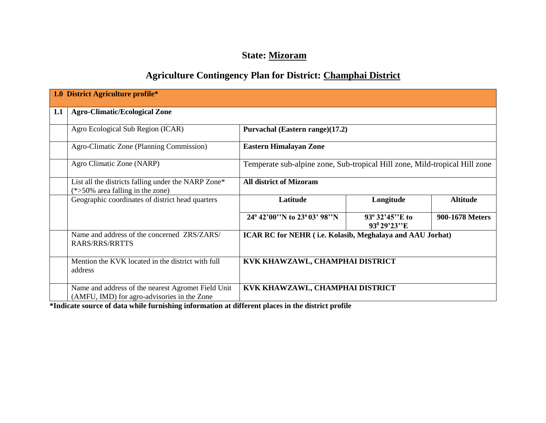# **State: Mizoram**

# **Agriculture Contingency Plan for District: Champhai District**

|     | 1.0 District Agriculture profile*                                                                 |                                                                            |                                                    |                 |  |  |  |  |
|-----|---------------------------------------------------------------------------------------------------|----------------------------------------------------------------------------|----------------------------------------------------|-----------------|--|--|--|--|
| 1.1 | <b>Agro-Climatic/Ecological Zone</b>                                                              |                                                                            |                                                    |                 |  |  |  |  |
|     | Agro Ecological Sub Region (ICAR)                                                                 | Purvachal (Eastern range)(17.2)                                            |                                                    |                 |  |  |  |  |
|     | Agro-Climatic Zone (Planning Commission)                                                          | <b>Eastern Himalayan Zone</b>                                              |                                                    |                 |  |  |  |  |
|     | Agro Climatic Zone (NARP)                                                                         | Temperate sub-alpine zone, Sub-tropical Hill zone, Mild-tropical Hill zone |                                                    |                 |  |  |  |  |
|     | List all the districts falling under the NARP Zone*<br>$(*>50\%$ area falling in the zone)        | <b>All district of Mizoram</b>                                             |                                                    |                 |  |  |  |  |
|     | Geographic coordinates of district head quarters                                                  | Latitude                                                                   | Longitude                                          | <b>Altitude</b> |  |  |  |  |
|     |                                                                                                   | 24° 42'00"N to 23° 03' 98"N                                                | $93^{\circ}32'45''E$ to<br>93 <sup>0</sup> 29'23"E | 900-1678 Meters |  |  |  |  |
|     | Name and address of the concerned ZRS/ZARS/<br><b>RARS/RRS/RRTTS</b>                              | ICAR RC for NEHR (i.e. Kolasib, Meghalaya and AAU Jorhat)                  |                                                    |                 |  |  |  |  |
|     | Mention the KVK located in the district with full<br>address                                      | KVK KHAWZAWL, CHAMPHAI DISTRICT                                            |                                                    |                 |  |  |  |  |
|     | Name and address of the nearest Agromet Field Unit<br>(AMFU, IMD) for agro-advisories in the Zone | KVK KHAWZAWL, CHAMPHAI DISTRICT                                            |                                                    |                 |  |  |  |  |

**\*Indicate source of data while furnishing information at different places in the district profile**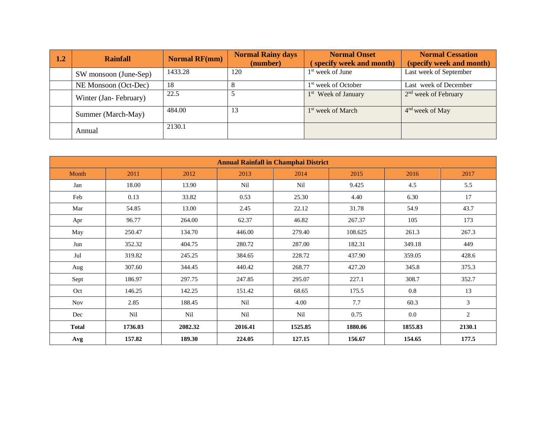| 1.2 | <b>Rainfall</b>       | <b>Normal RF(mm)</b> | <b>Normal Rainy days</b><br>(number) | <b>Normal Onset</b><br>specify week and month) | <b>Normal Cessation</b><br>(specify week and month) |
|-----|-----------------------|----------------------|--------------------------------------|------------------------------------------------|-----------------------------------------------------|
|     | SW monsoon (June-Sep) | 1433.28              | 120                                  | $1st$ week of June                             | Last week of September                              |
|     | NE Monsoon (Oct-Dec)  | 18                   |                                      | 1 <sup>st</sup> week of October                | Last week of December                               |
|     | Winter (Jan-February) | 22.5                 | 5                                    | 1 <sup>st</sup> Week of January                | $2nd$ week of February                              |
|     | Summer (March-May)    | 484.00               | 13                                   | 1 <sup>st</sup> week of March                  | 4 <sup>nd</sup> week of May                         |
|     | Annual                | 2130.1               |                                      |                                                |                                                     |

|              | <b>Annual Rainfall in Champhai District</b> |         |         |                 |         |         |                |  |  |
|--------------|---------------------------------------------|---------|---------|-----------------|---------|---------|----------------|--|--|
| Month        | 2011                                        | 2012    | 2013    | 2014            | 2015    | 2016    | 2017           |  |  |
| Jan          | 18.00                                       | 13.90   | Nil     | N <sub>il</sub> | 9.425   | 4.5     | 5.5            |  |  |
| Feb          | 0.13                                        | 33.82   | 0.53    | 25.30           | 4.40    | 6.30    | 17             |  |  |
| Mar          | 54.85                                       | 13.00   | 2.45    | 22.12           | 31.78   | 54.9    | 43.7           |  |  |
| Apr          | 96.77                                       | 264.00  | 62.37   | 46.82           | 267.37  | 105     | 173            |  |  |
| May          | 250.47                                      | 134.70  | 446.00  | 279.40          | 108.625 | 261.3   | 267.3          |  |  |
| Jun          | 352.32                                      | 404.75  | 280.72  | 287.00          | 182.31  | 349.18  | 449            |  |  |
| Jul          | 319.82                                      | 245.25  | 384.65  | 228.72          | 437.90  | 359.05  | 428.6          |  |  |
| Aug          | 307.60                                      | 344.45  | 440.42  | 268.77          | 427.20  | 345.8   | 375.3          |  |  |
| Sept         | 186.97                                      | 297.75  | 247.85  | 295.07          | 227.1   | 308.7   | 352.7          |  |  |
| Oct          | 146.25                                      | 142.25  | 151.42  | 68.65           | 175.5   | 0.8     | 13             |  |  |
| <b>Nov</b>   | 2.85                                        | 188.45  | Nil     | 4.00            | 7.7     | 60.3    | $\mathfrak{Z}$ |  |  |
| Dec          | Nil                                         | Nil     | Nil     | Nil             | 0.75    | $0.0\,$ | $\overline{c}$ |  |  |
| <b>Total</b> | 1736.03                                     | 2082.32 | 2016.41 | 1525.85         | 1880.06 | 1855.83 | 2130.1         |  |  |
| Avg          | 157.82                                      | 189.30  | 224.05  | 127.15          | 156.67  | 154.65  | 177.5          |  |  |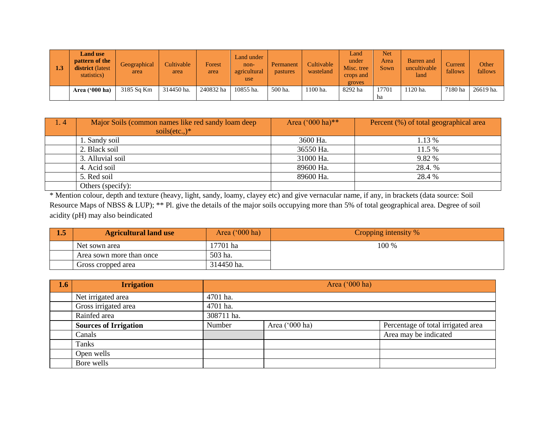| 1.3 | <b>Land use</b><br><b>pattern of the</b><br><b>district</b> (latest<br>statistics) | Geographical<br>area | Cultivable<br>area | Forest<br>area | Land under<br>non-<br>agricultural<br>use | Permanent<br>pastures | Cultivable<br>wasteland | Land<br>under<br>Misc. tree<br>crops and<br>groves | Net<br>Area<br><b>Sown</b> | Barren and<br>uncultivable<br>land | Current<br>fallows | Other<br>fallows |
|-----|------------------------------------------------------------------------------------|----------------------|--------------------|----------------|-------------------------------------------|-----------------------|-------------------------|----------------------------------------------------|----------------------------|------------------------------------|--------------------|------------------|
|     | Area $('000 ha)$                                                                   | 3185 Sq Km           | 314450 ha.         | 240832 ha      | 10855 ha.                                 | 500 ha.               | 1100 ha.                | 8292 ha                                            | 17701<br>ha                | l 120 ha.                          | 7180 ha            | 26619 ha.        |

| 1.4 | Major Soils (common names like red sandy loam deep<br>soils $(\text{etc.})^*$ | Area ('000 ha)** | Percent (%) of total geographical area |
|-----|-------------------------------------------------------------------------------|------------------|----------------------------------------|
|     | 1. Sandy soil                                                                 | 3600 Ha.         | 1.13 %                                 |
|     | 2. Black soil                                                                 | 36550 Ha.        | 11.5 %                                 |
|     | 3. Alluvial soil                                                              | 31000 Ha.        | 9.82 %                                 |
|     | 4. Acid soil                                                                  | 89600 Ha.        | 28.4. %                                |
|     | 5. Red soil                                                                   | 89600 Ha.        | 28.4 %                                 |
|     | Others (specify):                                                             |                  |                                        |

\* Mention colour, depth and texture (heavy, light, sandy, loamy, clayey etc) and give vernacular name, if any, in brackets (data source: Soil Resource Maps of NBSS & LUP); \*\* Pl. give the details of the major soils occupying more than 5% of total geographical area. Degree of soil acidity (pH) may also beindicated

| 1.J | Area $('000 ha)$<br><b>Agricultural land use</b> |            | Cropping intensity % |
|-----|--------------------------------------------------|------------|----------------------|
|     | Net sown area                                    | 17701 ha   | 100 %                |
|     | Area sown more than once                         | 503 ha.    |                      |
|     | Gross cropped area                               | 314450 ha. |                      |

| 1.6 | <b>Irrigation</b>            | Area ('000 ha) |                |                                    |  |  |  |  |
|-----|------------------------------|----------------|----------------|------------------------------------|--|--|--|--|
|     | Net irrigated area           | 4701 ha.       |                |                                    |  |  |  |  |
|     | Gross irrigated area         | 4701 ha.       |                |                                    |  |  |  |  |
|     | Rainfed area                 | 308711 ha.     |                |                                    |  |  |  |  |
|     | <b>Sources of Irrigation</b> | Number         | Area ('000 ha) | Percentage of total irrigated area |  |  |  |  |
|     | Canals                       |                |                | Area may be indicated              |  |  |  |  |
|     | Tanks                        |                |                |                                    |  |  |  |  |
|     | Open wells                   |                |                |                                    |  |  |  |  |
|     | Bore wells                   |                |                |                                    |  |  |  |  |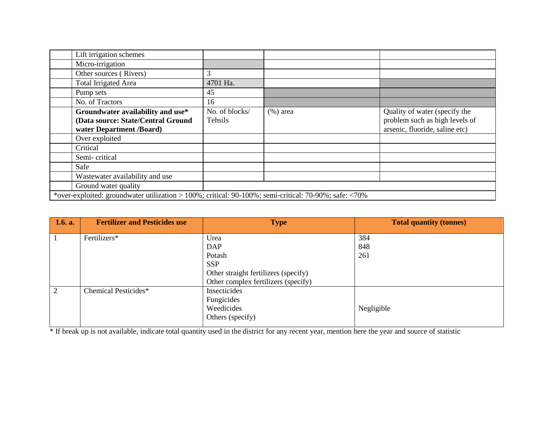| Lift irrigation schemes            |                                                                                                       |             |                                |  |  |  |  |
|------------------------------------|-------------------------------------------------------------------------------------------------------|-------------|--------------------------------|--|--|--|--|
| Micro-irrigation                   |                                                                                                       |             |                                |  |  |  |  |
| Other sources (Rivers)             | 3                                                                                                     |             |                                |  |  |  |  |
| <b>Total Irrigated Area</b>        | 4701 Ha.                                                                                              |             |                                |  |  |  |  |
| Pump sets                          | 45                                                                                                    |             |                                |  |  |  |  |
| No. of Tractors                    | 16                                                                                                    |             |                                |  |  |  |  |
| Groundwater availability and use*  | No. of blocks/                                                                                        | $(\%)$ area | Quality of water (specify the  |  |  |  |  |
| (Data source: State/Central Ground | Tehsils                                                                                               |             | problem such as high levels of |  |  |  |  |
| water Department /Board)           |                                                                                                       |             | arsenic, fluoride, saline etc) |  |  |  |  |
| Over exploited                     |                                                                                                       |             |                                |  |  |  |  |
| Critical                           |                                                                                                       |             |                                |  |  |  |  |
| Semi-critical                      |                                                                                                       |             |                                |  |  |  |  |
| Safe                               |                                                                                                       |             |                                |  |  |  |  |
| Wastewater availability and use    |                                                                                                       |             |                                |  |  |  |  |
| Ground water quality               |                                                                                                       |             |                                |  |  |  |  |
|                                    | *over-exploited: groundwater utilization > 100%; critical: 90-100%; semi-critical: 70-90%; safe: <70% |             |                                |  |  |  |  |

| 1.6. a.        | <b>Fertilizer and Pesticides use</b> | <b>Type</b>                          | <b>Total quantity (tonnes)</b> |
|----------------|--------------------------------------|--------------------------------------|--------------------------------|
|                | Fertilizers*                         | Urea                                 | 384                            |
|                |                                      | <b>DAP</b>                           | 848                            |
|                |                                      | Potash                               | 261                            |
|                |                                      | <b>SSP</b>                           |                                |
|                |                                      | Other straight fertilizers (specify) |                                |
|                |                                      | Other complex fertilizers (specify)  |                                |
| $\overline{2}$ | Chemical Pesticides*                 | Insecticides                         |                                |
|                |                                      | Fungicides                           |                                |
|                |                                      | Weedicides                           | Negligible                     |
|                |                                      | Others (specify)                     |                                |
|                |                                      |                                      |                                |

\* If break up is not available, indicate total quantity used in the district for any recent year, mention here the year and source of statistic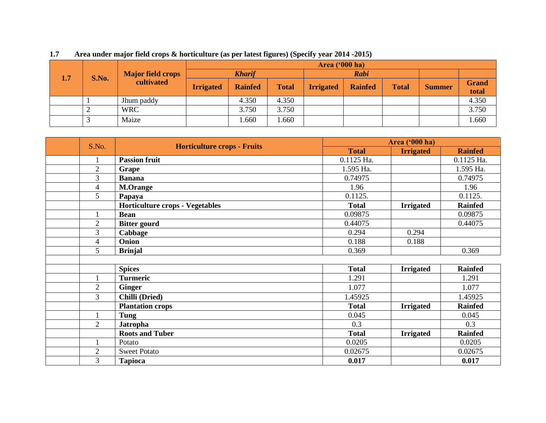|     |       | <b>Major field crops</b><br>cultivated |                  | Area $(900 \text{ ha})$ |              |                  |                |              |               |                       |  |
|-----|-------|----------------------------------------|------------------|-------------------------|--------------|------------------|----------------|--------------|---------------|-----------------------|--|
| 1.7 | S.No. |                                        | <b>Kharif</b>    |                         |              | Rabi             |                |              |               |                       |  |
|     |       |                                        | <b>Irrigated</b> | <b>Rainfed</b>          | <b>Total</b> | <b>Irrigated</b> | <b>Rainfed</b> | <b>Total</b> | <b>Summer</b> | <b>Grand</b><br>total |  |
|     |       | Jhum paddy                             |                  | 4.350                   | 4.350        |                  |                |              |               | 4.350                 |  |
|     |       | WRC                                    |                  | 3.750                   | 3.750        |                  |                |              |               | 3.750                 |  |
|     |       | Maize                                  |                  | .660                    | .660         |                  |                |              |               | .660                  |  |

**1.7 Area under major field crops & horticulture (as per latest figures) (Specify year 2014 -2015)** 

| S.No.          | <b>Horticulture crops - Fruits</b> |              | <b>Area</b> ('000 ha) |                |
|----------------|------------------------------------|--------------|-----------------------|----------------|
|                |                                    | <b>Total</b> | <b>Irrigated</b>      | <b>Rainfed</b> |
| $\mathbf{1}$   | <b>Passion fruit</b>               | 0.1125 Ha.   |                       | 0.1125 Ha.     |
| $\overline{2}$ | Grape                              | 1.595 Ha.    |                       | 1.595 Ha.      |
| 3              | <b>Banana</b>                      | 0.74975      |                       | 0.74975        |
| $\overline{4}$ | <b>M.Orange</b>                    | 1.96         |                       | 1.96           |
| 5              | Papaya                             | 0.1125.      |                       | 0.1125.        |
|                | Horticulture crops - Vegetables    | <b>Total</b> | <b>Irrigated</b>      | <b>Rainfed</b> |
| 1              | <b>Bean</b>                        | 0.09875      |                       | 0.09875        |
| $\overline{2}$ | <b>Bitter gourd</b>                | 0.44075      |                       | 0.44075        |
| $\mathfrak{Z}$ | Cabbage                            | 0.294        | 0.294                 |                |
| $\overline{4}$ | Onion                              | 0.188        | 0.188                 |                |
| 5              | <b>Brinjal</b>                     | 0.369        |                       | 0.369          |
|                |                                    |              |                       |                |
|                | <b>Spices</b>                      | <b>Total</b> | <b>Irrigated</b>      | <b>Rainfed</b> |
|                | <b>Turmeric</b>                    | 1.291        |                       | 1.291          |
| $\overline{2}$ | <b>Ginger</b>                      | 1.077        |                       | 1.077          |
| 3              | Chilli (Dried)                     | 1.45925      |                       | 1.45925        |
|                | <b>Plantation crops</b>            | <b>Total</b> | <b>Irrigated</b>      | <b>Rainfed</b> |
|                | Tung                               | 0.045        |                       | 0.045          |
| $\overline{2}$ | <b>Jatropha</b>                    | 0.3          |                       | 0.3            |
|                | <b>Roots and Tuber</b>             | <b>Total</b> | <b>Irrigated</b>      | <b>Rainfed</b> |
| $\mathbf{1}$   | Potato                             | 0.0205       |                       | 0.0205         |
| $\overline{2}$ | <b>Sweet Potato</b>                | 0.02675      |                       | 0.02675        |
| 3              | <b>Tapioca</b>                     | 0.017        |                       | 0.017          |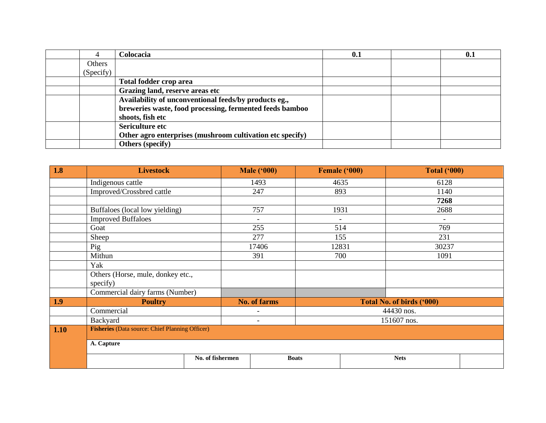|           | Colocacia                                                 | 0.1 | 0.1 |
|-----------|-----------------------------------------------------------|-----|-----|
| Others    |                                                           |     |     |
| (Specify) |                                                           |     |     |
|           | Total fodder crop area                                    |     |     |
|           | Grazing land, reserve areas etc                           |     |     |
|           | Availability of unconventional feeds/by products eg.,     |     |     |
|           | breweries waste, food processing, fermented feeds bamboo  |     |     |
|           | shoots, fish etc                                          |     |     |
|           | Sericulture etc                                           |     |     |
|           | Other agro enterprises (mushroom cultivation etc specify) |     |     |
|           | Others (specify)                                          |     |     |

| 1.8  | <b>Livestock</b>                                       |                  | <b>Male ('000)</b>       |              | Female ('000)            | <b>Total ('000)</b>       |  |
|------|--------------------------------------------------------|------------------|--------------------------|--------------|--------------------------|---------------------------|--|
|      | Indigenous cattle                                      |                  | 1493                     |              | 4635                     | 6128                      |  |
|      | Improved/Crossbred cattle                              |                  | 247                      |              | 893                      | 1140                      |  |
|      |                                                        |                  |                          |              |                          | 7268                      |  |
|      | Buffaloes (local low yielding)                         |                  | 757                      |              | 1931                     | 2688                      |  |
|      | <b>Improved Buffaloes</b>                              |                  | $\blacksquare$           |              | $\overline{\phantom{0}}$ | $\overline{\phantom{a}}$  |  |
|      | Goat                                                   |                  | 255                      |              | 514                      | 769                       |  |
|      | Sheep                                                  |                  | 277                      |              | 155                      | 231                       |  |
|      | Pig                                                    |                  | 17406                    |              | 12831                    | 30237                     |  |
|      | Mithun                                                 |                  | 391                      |              | 700                      | 1091                      |  |
|      | Yak                                                    |                  |                          |              |                          |                           |  |
|      | Others (Horse, mule, donkey etc.,                      |                  |                          |              |                          |                           |  |
|      | specify)                                               |                  |                          |              |                          |                           |  |
|      | Commercial dairy farms (Number)                        |                  |                          |              |                          |                           |  |
| 1.9  | <b>Poultry</b>                                         |                  | <b>No. of farms</b>      |              |                          | Total No. of birds ('000) |  |
|      | Commercial                                             |                  | $\overline{\phantom{a}}$ |              |                          | 44430 nos.                |  |
|      | Backyard                                               |                  | $\overline{\phantom{0}}$ |              |                          | 151607 nos.               |  |
| 1.10 | <b>Fisheries</b> (Data source: Chief Planning Officer) |                  |                          |              |                          |                           |  |
|      | A. Capture                                             |                  |                          |              |                          |                           |  |
|      |                                                        | No. of fishermen |                          | <b>Boats</b> |                          | <b>Nets</b>               |  |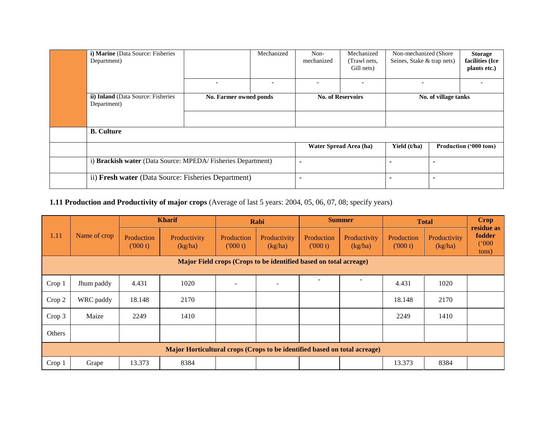| i) Marine (Data Source: Fisheries<br>Department)            |                        | Mechanized               | Non-<br>mechanized       | Mechanized<br>(Trawl nets,<br>Gill nets) | Non-mechanized (Shore)<br>Seines, Stake & trap nets) |  | <b>Storage</b><br>facilities (Ice<br>plants etc.) |
|-------------------------------------------------------------|------------------------|--------------------------|--------------------------|------------------------------------------|------------------------------------------------------|--|---------------------------------------------------|
|                                                             | ۰                      | $\overline{\phantom{a}}$ |                          | ۰                                        |                                                      |  |                                                   |
| ii) Inland (Data Source: Fisheries<br>Department)           | No. Farmer owned ponds |                          | <b>No. of Reservoirs</b> |                                          | No. of village tanks                                 |  |                                                   |
|                                                             |                        |                          |                          |                                          |                                                      |  |                                                   |
| <b>B.</b> Culture                                           |                        |                          |                          |                                          |                                                      |  |                                                   |
|                                                             |                        |                          |                          | Water Spread Area (ha)                   | Yield (t/ha)                                         |  | Production ('000 tons)                            |
| i) Brackish water (Data Source: MPEDA/Fisheries Department) |                        |                          | $\overline{\phantom{0}}$ |                                          |                                                      |  |                                                   |
| ii) Fresh water (Data Source: Fisheries Department)         |                        |                          | $\overline{\phantom{0}}$ |                                          |                                                      |  |                                                   |

# **1.11 Production and Productivity of major crops** (Average of last 5 years: 2004, 05, 06, 07, 08; specify years)

| 1.11   | Name of crop                                                              | <b>Kharif</b>         |                         |                          | Rabi                    |                       | <b>Summer</b>           | <b>Total</b>          |                         | <b>Crop</b><br>residue as |  |
|--------|---------------------------------------------------------------------------|-----------------------|-------------------------|--------------------------|-------------------------|-----------------------|-------------------------|-----------------------|-------------------------|---------------------------|--|
|        |                                                                           | Production<br>(000 t) | Productivity<br>(kg/ha) | Production<br>(000 t)    | Productivity<br>(kg/ha) | Production<br>(000 t) | Productivity<br>(kg/ha) | Production<br>(000 t) | Productivity<br>(kg/ha) | fodder<br>(000)<br>tons)  |  |
|        | Major Field crops (Crops to be identified based on total acreage)         |                       |                         |                          |                         |                       |                         |                       |                         |                           |  |
|        |                                                                           |                       |                         |                          |                         |                       |                         |                       |                         |                           |  |
| Crop 1 | Jhum paddy                                                                | 4.431                 | 1020                    | $\overline{\phantom{a}}$ |                         |                       |                         | 4.431                 | 1020                    |                           |  |
| Crop 2 | WRC paddy                                                                 | 18.148                | 2170                    |                          |                         |                       |                         | 18.148                | 2170                    |                           |  |
| Crop 3 | Maize                                                                     | 2249                  | 1410                    |                          |                         |                       |                         | 2249                  | 1410                    |                           |  |
| Others |                                                                           |                       |                         |                          |                         |                       |                         |                       |                         |                           |  |
|        | Major Horticultural crops (Crops to be identified based on total acreage) |                       |                         |                          |                         |                       |                         |                       |                         |                           |  |
| Crop 1 | Grape                                                                     | 13.373                | 8384                    |                          |                         |                       |                         | 13.373                | 8384                    |                           |  |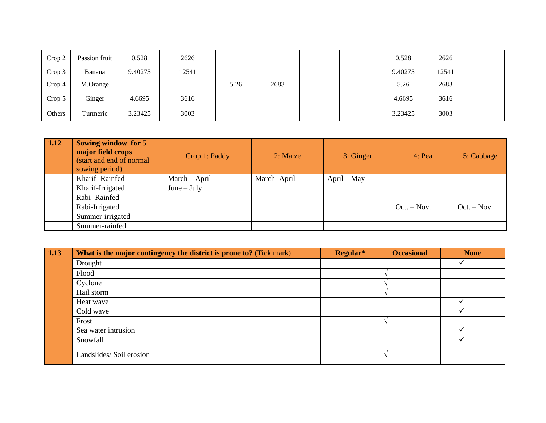| Crop 2 | Passion fruit | 0.528   | 2626  |      |      |  | 0.528   | 2626  |  |
|--------|---------------|---------|-------|------|------|--|---------|-------|--|
| Crop 3 | Banana        | 9.40275 | 12541 |      |      |  | 9.40275 | 12541 |  |
| Crop 4 | M.Orange      |         |       | 5.26 | 2683 |  | 5.26    | 2683  |  |
| Crop 5 | Ginger        | 4.6695  | 3616  |      |      |  | 4.6695  | 3616  |  |
| Others | Turmeric      | 3.23425 | 3003  |      |      |  | 3.23425 | 3003  |  |

| 1.12 | Sowing window for 5<br>major field crops<br>(start and end of normal<br>sowing period) | Crop 1: Paddy | 2: Maize    | 3: Ginger     | $4:$ Pea      | 5: Cabbage    |
|------|----------------------------------------------------------------------------------------|---------------|-------------|---------------|---------------|---------------|
|      | Kharif-Rainfed                                                                         | March – April | March-April | $April - May$ |               |               |
|      | Kharif-Irrigated                                                                       | $June - July$ |             |               |               |               |
|      | Rabi-Rainfed                                                                           |               |             |               |               |               |
|      | Rabi-Irrigated                                                                         |               |             |               | $Oct. - Nov.$ | $Oct. - Nov.$ |
|      | Summer-irrigated                                                                       |               |             |               |               |               |
|      | Summer-rainfed                                                                         |               |             |               |               |               |

| 1.13 | <b>What is the major contingency the district is prone to?</b> (Tick mark) | Regular* | <b>Occasional</b> | <b>None</b> |
|------|----------------------------------------------------------------------------|----------|-------------------|-------------|
|      | Drought                                                                    |          |                   |             |
|      | Flood                                                                      |          |                   |             |
|      | Cyclone                                                                    |          |                   |             |
|      | Hail storm                                                                 |          |                   |             |
|      | Heat wave                                                                  |          |                   |             |
|      | Cold wave                                                                  |          |                   |             |
|      | Frost                                                                      |          |                   |             |
|      | Sea water intrusion                                                        |          |                   |             |
|      | Snowfall                                                                   |          |                   |             |
|      | Landslides/Soil erosion                                                    |          |                   |             |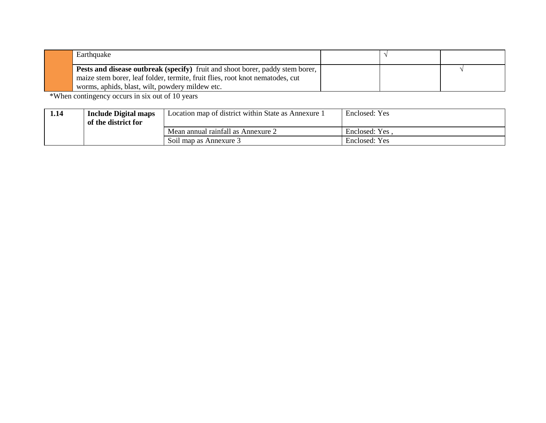| Earthquake                                                                                                                                                                                                        |  |  |
|-------------------------------------------------------------------------------------------------------------------------------------------------------------------------------------------------------------------|--|--|
| Pests and disease outbreak (specify) fruit and shoot borer, paddy stem borer,<br>maize stem borer, leaf folder, termite, fruit flies, root knot nematodes, cut<br>worms, aphids, blast, wilt, powdery mildew etc. |  |  |

\*When contingency occurs in six out of 10 years

| 1.14 | <b>Include Digital maps</b><br>of the district for | Location map of district within State as Annexure 1 | Enclosed: Yes  |
|------|----------------------------------------------------|-----------------------------------------------------|----------------|
|      |                                                    | Mean annual rainfall as Annexure 2                  | Enclosed: Yes, |
|      |                                                    | Soil map as Annexure 3                              | Enclosed: Yes  |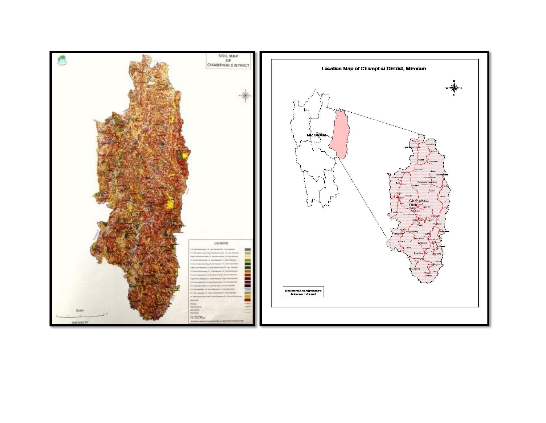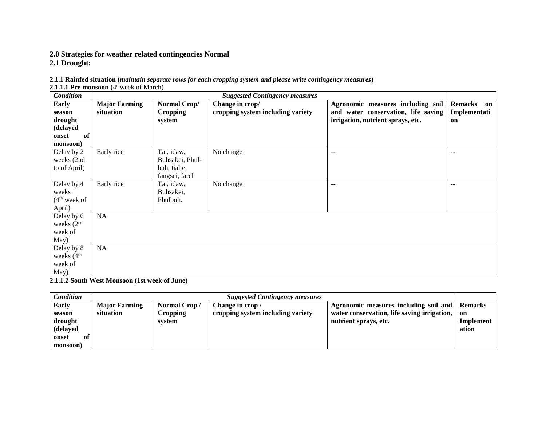# **2.0 Strategies for weather related contingencies Normal**

**2.1 Drought:**

|  |  | 2.1.1 Rainfed situation (maintain separate rows for each cropping system and please write contingency measures) |
|--|--|-----------------------------------------------------------------------------------------------------------------|
|  |  |                                                                                                                 |

2.1.1.1 Pre monsoon (4<sup>th</sup>week of March)

| Condition                |                      |                 | <b>Suggested Contingency measures</b> |                                     |                      |
|--------------------------|----------------------|-----------------|---------------------------------------|-------------------------------------|----------------------|
| Early                    | <b>Major Farming</b> | Normal Crop/    | Change in crop/                       | Agronomic measures including soil   | <b>Remarks</b><br>on |
| season                   | situation            | <b>Cropping</b> | cropping system including variety     | and water conservation, life saving | Implementati         |
| drought                  |                      | system          |                                       | irrigation, nutrient sprays, etc.   | on                   |
| (delayed                 |                      |                 |                                       |                                     |                      |
| of<br>onset              |                      |                 |                                       |                                     |                      |
| monsoon)                 |                      |                 |                                       |                                     |                      |
| Delay by 2               | Early rice           | Tai, idaw,      | No change                             | $-$                                 | $\sim$ $\sim$        |
| weeks (2nd               |                      | Buhsakei, Phul- |                                       |                                     |                      |
| to of April)             |                      | buh, tialte,    |                                       |                                     |                      |
|                          |                      | fangsei, farel  |                                       |                                     |                      |
| Delay by 4               | Early rice           | Tai, idaw,      | No change                             | $-$                                 | $\sim$               |
| weeks                    |                      | Buhsakei,       |                                       |                                     |                      |
| (4 <sup>th</sup> week of |                      | Phulbuh.        |                                       |                                     |                      |
| April)                   |                      |                 |                                       |                                     |                      |
| Delay by 6               | NA                   |                 |                                       |                                     |                      |
| weeks $(2nd$             |                      |                 |                                       |                                     |                      |
| week of                  |                      |                 |                                       |                                     |                      |
| May)                     |                      |                 |                                       |                                     |                      |
| Delay by 8               | NA                   |                 |                                       |                                     |                      |
| weeks (4 <sup>th</sup>   |                      |                 |                                       |                                     |                      |
| week of                  |                      |                 |                                       |                                     |                      |
| May)                     |                      |                 |                                       |                                     |                      |

**2.1.1.2 South West Monsoon (1st week of June)**

| Condition    |                      | <b>Suggested Contingency measures</b> |                                   |                                             |                |  |  |  |
|--------------|----------------------|---------------------------------------|-----------------------------------|---------------------------------------------|----------------|--|--|--|
| <b>Early</b> | <b>Major Farming</b> | Normal Crop/                          | Change in crop /                  | Agronomic measures including soil and       | <b>Remarks</b> |  |  |  |
| season       | situation            | <b>Cropping</b>                       | cropping system including variety | water conservation, life saving irrigation, | on             |  |  |  |
| drought      |                      | system                                |                                   | nutrient sprays, etc.                       | Implement      |  |  |  |
| (delayed     |                      |                                       |                                   |                                             | ation          |  |  |  |
| onset<br>оť  |                      |                                       |                                   |                                             |                |  |  |  |
| monsoon)     |                      |                                       |                                   |                                             |                |  |  |  |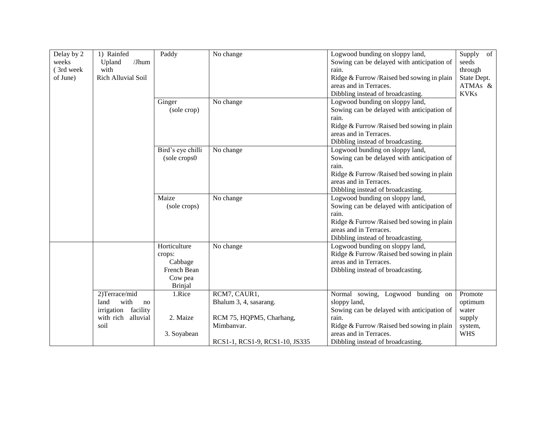| Delay by 2 | 1) Rainfed          | Paddy             | No change                      | Logwood bunding on sloppy land,            | Supply<br>of |
|------------|---------------------|-------------------|--------------------------------|--------------------------------------------|--------------|
| weeks      | Upland<br>/Jhum     |                   |                                | Sowing can be delayed with anticipation of | seeds        |
| (3rd week  | with                |                   |                                | rain.                                      | through      |
| of June)   | Rich Alluvial Soil  |                   |                                | Ridge & Furrow/Raised bed sowing in plain  | State Dept.  |
|            |                     |                   |                                | areas and in Terraces.                     | ATMAs &      |
|            |                     |                   |                                | Dibbling instead of broadcasting.          | <b>KVKs</b>  |
|            |                     | Ginger            | No change                      | Logwood bunding on sloppy land,            |              |
|            |                     | (sole crop)       |                                | Sowing can be delayed with anticipation of |              |
|            |                     |                   |                                | rain.                                      |              |
|            |                     |                   |                                | Ridge & Furrow/Raised bed sowing in plain  |              |
|            |                     |                   |                                | areas and in Terraces.                     |              |
|            |                     |                   |                                | Dibbling instead of broadcasting.          |              |
|            |                     | Bird's eye chilli | No change                      | Logwood bunding on sloppy land,            |              |
|            |                     | (sole crops0)     |                                | Sowing can be delayed with anticipation of |              |
|            |                     |                   |                                | rain.                                      |              |
|            |                     |                   |                                | Ridge & Furrow/Raised bed sowing in plain  |              |
|            |                     |                   |                                | areas and in Terraces.                     |              |
|            |                     |                   |                                | Dibbling instead of broadcasting.          |              |
|            |                     | Maize             | No change                      | Logwood bunding on sloppy land,            |              |
|            |                     | (sole crops)      |                                | Sowing can be delayed with anticipation of |              |
|            |                     |                   |                                | rain.                                      |              |
|            |                     |                   |                                | Ridge & Furrow/Raised bed sowing in plain  |              |
|            |                     |                   |                                | areas and in Terraces.                     |              |
|            |                     |                   |                                | Dibbling instead of broadcasting.          |              |
|            |                     | Horticulture      | No change                      | Logwood bunding on sloppy land,            |              |
|            |                     | crops:            |                                | Ridge & Furrow/Raised bed sowing in plain  |              |
|            |                     | Cabbage           |                                | areas and in Terraces.                     |              |
|            |                     | French Bean       |                                | Dibbling instead of broadcasting.          |              |
|            |                     | Cow pea           |                                |                                            |              |
|            |                     | <b>Brinjal</b>    |                                |                                            |              |
|            | 2)Terrace/mid       | 1.Rice            | RCM7, CAUR1,                   | Normal sowing, Logwood bunding on          | Promote      |
|            | with<br>land<br>no  |                   | Bhalum 3, 4, sasarang.         | sloppy land,                               | optimum      |
|            | irrigation facility |                   |                                | Sowing can be delayed with anticipation of | water        |
|            | with rich alluvial  | 2. Maize          | RCM 75, HQPM5, Charhang,       | rain.                                      | supply       |
|            | soil                |                   | Mimbanvar.                     | Ridge & Furrow/Raised bed sowing in plain  | system,      |
|            |                     | 3. Soyabean       |                                | areas and in Terraces.                     | <b>WHS</b>   |
|            |                     |                   | RCS1-1, RCS1-9, RCS1-10, JS335 | Dibbling instead of broadcasting.          |              |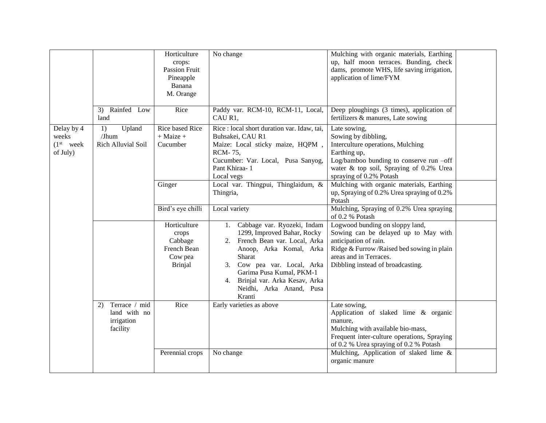|                                                          |                                                               | Horticulture<br>crops:<br>Passion Fruit<br>Pineapple<br>Banana<br>M. Orange | No change                                                                                                                                                                                                                                                                        | Mulching with organic materials, Earthing<br>up, half moon terraces. Bunding, check<br>dams, promote WHS, life saving irrigation,<br>application of lime/FYM                                                 |  |
|----------------------------------------------------------|---------------------------------------------------------------|-----------------------------------------------------------------------------|----------------------------------------------------------------------------------------------------------------------------------------------------------------------------------------------------------------------------------------------------------------------------------|--------------------------------------------------------------------------------------------------------------------------------------------------------------------------------------------------------------|--|
|                                                          | 3) Rainfed Low<br>land                                        | Rice                                                                        | Paddy var. RCM-10, RCM-11, Local,<br>CAU R1,                                                                                                                                                                                                                                     | Deep ploughings (3 times), application of<br>fertilizers & manures, Late sowing                                                                                                                              |  |
| Delay by 4<br>weeks<br>(1 <sup>st</sup> week<br>of July) | Upland<br>1)<br>/Jhum<br>Rich Alluvial Soil                   | <b>Rice based Rice</b><br>$+$ Maize $+$<br>Cucumber                         | Rice : local short duration var. Idaw, tai,<br>Buhsakei, CAU R1<br>Maize: Local sticky maize, HQPM,<br>RCM-75,<br>Cucumber: Var. Local, Pusa Sanyog,<br>Pant Khiraa-1<br>Local vegs                                                                                              | Late sowing,<br>Sowing by dibbling,<br>Interculture operations, Mulching<br>Earthing up,<br>Log/bamboo bunding to conserve run -off<br>water & top soil, Spraying of 0.2% Urea<br>spraying of 0.2% Potash    |  |
|                                                          |                                                               | Ginger                                                                      | Local var. Thingpui, Thinglaidum, &<br>Thingria,                                                                                                                                                                                                                                 | Mulching with organic materials, Earthing<br>up, Spraying of 0.2% Urea spraying of 0.2%<br>Potash                                                                                                            |  |
|                                                          |                                                               | Bird's eye chilli                                                           | Local variety                                                                                                                                                                                                                                                                    | Mulching, Spraying of 0.2% Urea spraying<br>of 0.2 % Potash                                                                                                                                                  |  |
|                                                          |                                                               | Horticulture<br>crops<br>Cabbage<br>French Bean<br>Cow pea<br>Brinjal       | 1. Cabbage var. Ryozeki, Indam<br>1299, Improved Bahar, Rocky<br>2. French Bean var. Local, Arka<br>Anoop, Arka Komal, Arka<br>Sharat<br>Cow pea var. Local, Arka<br>3.<br>Garima Pusa Kumal, PKM-1<br>Brinjal var. Arka Kesav, Arka<br>4.<br>Neidhi, Arka Anand, Pusa<br>Kranti | Logwood bunding on sloppy land,<br>Sowing can be delayed up to May with<br>anticipation of rain.<br>Ridge & Furrow/Raised bed sowing in plain<br>areas and in Terraces.<br>Dibbling instead of broadcasting. |  |
|                                                          | Terrace / mid<br>2)<br>land with no<br>irrigation<br>facility | Rice                                                                        | Early varieties as above                                                                                                                                                                                                                                                         | Late sowing,<br>Application of slaked lime & organic<br>manure,<br>Mulching with available bio-mass,<br>Frequent inter-culture operations, Spraying<br>of 0.2 % Urea spraying of 0.2 % Potash                |  |
|                                                          |                                                               | Perennial crops                                                             | No change                                                                                                                                                                                                                                                                        | Mulching, Application of slaked lime &<br>organic manure                                                                                                                                                     |  |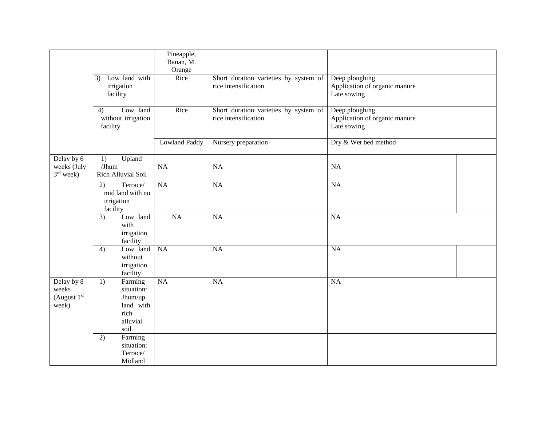|                                               |                                                                                 | Pineapple,           |                                                               |                                                                |  |
|-----------------------------------------------|---------------------------------------------------------------------------------|----------------------|---------------------------------------------------------------|----------------------------------------------------------------|--|
|                                               |                                                                                 | Banan, M.            |                                                               |                                                                |  |
|                                               |                                                                                 | Orange               |                                                               |                                                                |  |
|                                               | Low land with<br>3)<br>irrigation<br>facility                                   | Rice                 | Short duration varieties by system of<br>rice intensification | Deep ploughing<br>Application of organic manure<br>Late sowing |  |
|                                               | Low land<br>4)<br>without irrigation<br>facility                                | Rice                 | Short duration varieties by system of<br>rice intensification | Deep ploughing<br>Application of organic manure<br>Late sowing |  |
|                                               |                                                                                 | <b>Lowland Paddy</b> | Nursery preparation                                           | Dry & Wet bed method                                           |  |
| Delay by 6<br>weeks (July<br>$3rd$ week)      | Upland<br>1)<br>$J$ hum<br>Rich Alluvial Soil                                   | NA                   | <b>NA</b>                                                     | <b>NA</b>                                                      |  |
|                                               | 2)<br>Terrace/<br>mid land with no<br>irrigation<br>facility                    | $\overline{NA}$      | $\overline{NA}$                                               | <b>NA</b>                                                      |  |
|                                               | Low land<br>3)<br>with<br>irrigation<br>facility                                | NA                   | NA                                                            | NA                                                             |  |
|                                               | Low land<br>4)<br>without<br>irrigation<br>facility                             | NA                   | <b>NA</b>                                                     | NA                                                             |  |
| Delay by 8<br>weeks<br>(August $1st$<br>week) | 1)<br>Farming<br>situation:<br>Jhum/up<br>land with<br>rich<br>alluvial<br>soil | $\overline{NA}$      | $\overline{NA}$                                               | NA                                                             |  |
|                                               | Farming<br>2)<br>situation:<br>Terrace/<br>Midland                              |                      |                                                               |                                                                |  |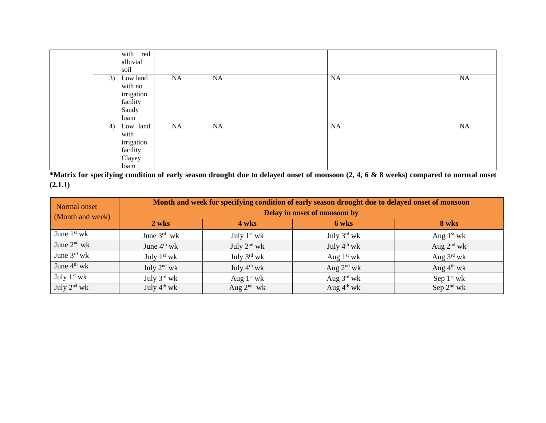|    | with red<br>alluvial<br>soil                                   |    |           |    |    |
|----|----------------------------------------------------------------|----|-----------|----|----|
| 3) | Low land<br>with no<br>irrigation<br>facility<br>Sandy<br>loam | NA | <b>NA</b> | NA | NA |
| 4) | Low land<br>with<br>irrigation<br>facility<br>Clayey<br>loam   | NA | <b>NA</b> | NA | NA |

**\*Matrix for specifying condition of early season drought due to delayed onset of monsoon (2, 4, 6 & 8 weeks) compared to normal onset (2.1.1)**

| Normal onset     | Month and week for specifying condition of early season drought due to delayed onset of monsoon |                         |                         |                        |  |  |  |  |
|------------------|-------------------------------------------------------------------------------------------------|-------------------------|-------------------------|------------------------|--|--|--|--|
| (Month and week) | Delay in onset of monsoon by                                                                    |                         |                         |                        |  |  |  |  |
|                  | 2 wks                                                                                           | 4 wks                   | 6 wks                   | 8 wks                  |  |  |  |  |
| June $1st$ wk    | June $3^{rd}$ wk                                                                                | July $1st$ wk           | July $3^{\text{rd}}$ wk | Aug $1st$ wk           |  |  |  |  |
| June $2nd$ wk    | June $4th$ wk                                                                                   | July $2nd$ wk           | July $4^{\text{th}}$ wk | Aug $2nd$ wk           |  |  |  |  |
| June $3^{rd}$ wk | July $1st$ wk                                                                                   | July $3^{\text{rd}}$ wk | Aug $1st$ wk            | Aug $3^{\text{rd}}$ wk |  |  |  |  |
| June $4^{th}$ wk | July $2^{nd}$ wk                                                                                | July $4^{th}$ wk        | Aug $2^{nd}$ wk         | Aug $4^{\text{th}}$ wk |  |  |  |  |
| July $1st$ wk    | July $3^{\text{rd}}$ wk                                                                         | Aug $1st$ wk            | Aug $3^{\text{rd}}$ wk  | Sep $1st$ wk           |  |  |  |  |
| July $2^{nd}$ wk | July $4^{th}$ wk                                                                                | Aug $2^{nd}$ wk         | Aug $4^{\text{th}}$ wk  | Sep $2^{nd}$ wk        |  |  |  |  |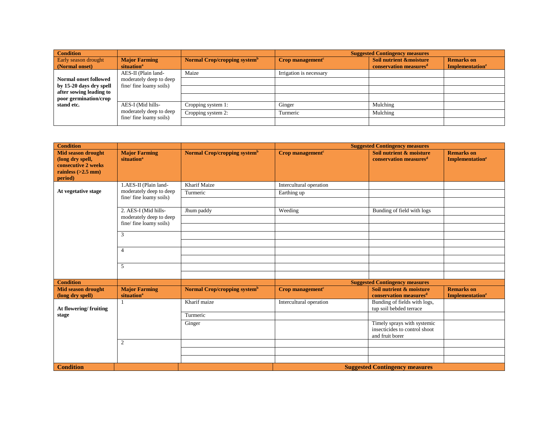| <b>Condition</b>                       |                                                                        |                                          |                                             | <b>Suggested Contingency measures</b>                                    |                                                         |
|----------------------------------------|------------------------------------------------------------------------|------------------------------------------|---------------------------------------------|--------------------------------------------------------------------------|---------------------------------------------------------|
| Early season drought<br>(Normal onset) | <b>Major Farming</b><br>situation <sup>a</sup>                         | Normal Crop/cropping system <sup>b</sup> | $Crop$ management <sup><math>c</math></sup> | <b>Soil nutrient &amp;moisture</b><br>conservation measures <sup>d</sup> | <b>Remarks</b> on<br><b>Implementation</b> <sup>e</sup> |
|                                        | AES-II (Plain land-                                                    | Maize                                    | Irrigation is necessary                     |                                                                          |                                                         |
| <b>Normal onset followed</b>           | moderately deep to deep                                                |                                          |                                             |                                                                          |                                                         |
| after sowing leading to                | fine/fine loamy soils)<br>by 15-20 days dry spell                      |                                          |                                             |                                                                          |                                                         |
| poor germination/crop                  |                                                                        |                                          |                                             |                                                                          |                                                         |
| stand etc.                             | AES-I (Mid hills-<br>moderately deep to deep<br>fine/fine loamy soils) | Cropping system 1:                       | Ginger                                      | Mulching                                                                 |                                                         |
|                                        |                                                                        | Cropping system 2:                       | Turmeric                                    | Mulching                                                                 |                                                         |
|                                        |                                                                        |                                          |                                             |                                                                          |                                                         |

| <b>Condition</b>                                                                             |                                                   |                                          |                              | <b>Suggested Contingency measures</b>                                           |                                                        |
|----------------------------------------------------------------------------------------------|---------------------------------------------------|------------------------------------------|------------------------------|---------------------------------------------------------------------------------|--------------------------------------------------------|
| <b>Mid season drought</b><br>(long dry spell,<br>consecutive 2 weeks<br>rainless $(>2.5$ mm) | <b>Major Farming</b><br>situation <sup>a</sup>    | Normal Crop/cropping system <sup>b</sup> | Crop management <sup>c</sup> | Soil nutrient & moisture<br>conservation measures <sup>d</sup>                  | <b>Remarks</b> on<br><b>Implementation<sup>e</sup></b> |
| period)                                                                                      |                                                   |                                          |                              |                                                                                 |                                                        |
|                                                                                              | 1.AES-II (Plain land-                             | Kharif Maize                             | Intercultural operation      |                                                                                 |                                                        |
| At vegetative stage                                                                          | moderately deep to deep<br>fine/fine loamy soils) | Turmeric                                 | Earthing up                  |                                                                                 |                                                        |
|                                                                                              |                                                   |                                          |                              |                                                                                 |                                                        |
|                                                                                              | 2. AES-I (Mid hills-                              | Jhum paddy                               | Weeding                      | Bunding of field with logs                                                      |                                                        |
|                                                                                              | moderately deep to deep                           |                                          |                              |                                                                                 |                                                        |
|                                                                                              | fine/fine loamy soils)                            |                                          |                              |                                                                                 |                                                        |
|                                                                                              | 3                                                 |                                          |                              |                                                                                 |                                                        |
|                                                                                              |                                                   |                                          |                              |                                                                                 |                                                        |
|                                                                                              | $\overline{4}$                                    |                                          |                              |                                                                                 |                                                        |
|                                                                                              |                                                   |                                          |                              |                                                                                 |                                                        |
|                                                                                              | 5                                                 |                                          |                              |                                                                                 |                                                        |
|                                                                                              |                                                   |                                          |                              |                                                                                 |                                                        |
| <b>Condition</b>                                                                             |                                                   |                                          |                              | <b>Suggested Contingency measures</b>                                           |                                                        |
| <b>Mid season drought</b><br>(long dry spell)                                                | <b>Major Farming</b><br>situation <sup>a</sup>    | Normal Crop/cropping system <sup>b</sup> | Crop management <sup>c</sup> | Soil nutrient & moisture<br>conservation measures <sup>d</sup>                  | <b>Remarks</b> on<br><b>Implementation<sup>e</sup></b> |
| At flowering/fruiting                                                                        |                                                   | Kharif maize                             | Intercultural operation      | Bunding of fields with logs,<br>tup soil bebded terrace                         |                                                        |
| stage                                                                                        |                                                   | Turmeric                                 |                              |                                                                                 |                                                        |
|                                                                                              |                                                   | Ginger                                   |                              | Timely sprays with systemic<br>insecticides to control shoot<br>and fruit borer |                                                        |
|                                                                                              | 2                                                 |                                          |                              |                                                                                 |                                                        |
|                                                                                              |                                                   |                                          |                              |                                                                                 |                                                        |
|                                                                                              |                                                   |                                          |                              |                                                                                 |                                                        |
| <b>Condition</b>                                                                             |                                                   |                                          |                              | <b>Suggested Contingency measures</b>                                           |                                                        |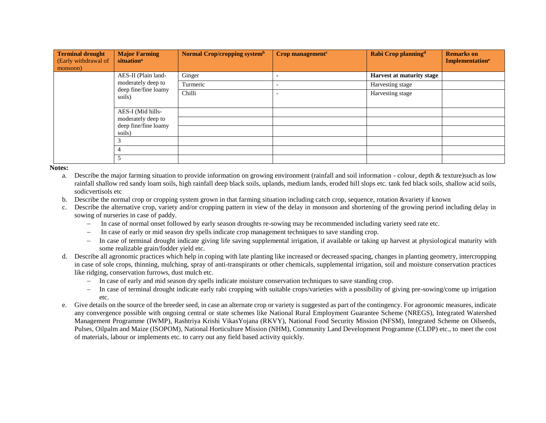| <b>Terminal drought</b><br>(Early withdrawal of<br>monsoon) | <b>Major Farming</b><br>situation <sup>a</sup> | Normal Crop/cropping systemb | $Crop$ management <sup><math>c</math></sup> | Rabi Crop planning <sup>d</sup> | <b>Remarks on</b><br>Implementation <sup>e</sup> |
|-------------------------------------------------------------|------------------------------------------------|------------------------------|---------------------------------------------|---------------------------------|--------------------------------------------------|
|                                                             | AES-II (Plain land-                            | Ginger                       |                                             | Harvest at maturity stage       |                                                  |
|                                                             | moderately deep to                             | Turmeric                     |                                             | Harvesting stage                |                                                  |
|                                                             | deep fine/fine loamy<br>soils)                 | Chilli                       |                                             | Harvesting stage                |                                                  |
|                                                             | AES-I (Mid hills-                              |                              |                                             |                                 |                                                  |
|                                                             | moderately deep to                             |                              |                                             |                                 |                                                  |
| soils)<br>4                                                 | deep fine/fine loamy                           |                              |                                             |                                 |                                                  |
|                                                             |                                                |                              |                                             |                                 |                                                  |
|                                                             |                                                |                              |                                             |                                 |                                                  |
|                                                             | 5                                              |                              |                                             |                                 |                                                  |

- a. Describe the major farming situation to provide information on growing environment (rainfall and soil information colour, depth & texture)such as low rainfall shallow red sandy loam soils, high rainfall deep black soils, uplands, medium lands, eroded hill slops etc. tank fed black soils, shallow acid soils, sodicvertisols etc
- b. Describe the normal crop or cropping system grown in that farming situation including catch crop, sequence, rotation &variety if known
- c. Describe the alternative crop, variety and/or cropping pattern in view of the delay in monsoon and shortening of the growing period including delay in sowing of nurseries in case of paddy.
	- In case of normal onset followed by early season droughts re-sowing may be recommended including variety seed rate etc.
	- In case of early or mid season dry spells indicate crop management techniques to save standing crop.
	- In case of terminal drought indicate giving life saving supplemental irrigation, if available or taking up harvest at physiological maturity with some realizable grain/fodder yield etc.
- d. Describe all agronomic practices which help in coping with late planting like increased or decreased spacing, changes in planting geometry, intercropping in case of sole crops, thinning, mulching, spray of anti-transpirants or other chemicals, supplemental irrigation, soil and moisture conservation practices like ridging, conservation furrows, dust mulch etc.
	- In case of early and mid season dry spells indicate moisture conservation techniques to save standing crop.
	- In case of terminal drought indicate early rabi cropping with suitable crops/varieties with a possibility of giving pre-sowing/come up irrigation etc.
- e. Give details on the source of the breeder seed, in case an alternate crop or variety is suggested as part of the contingency. For agronomic measures, indicate any convergence possible with ongoing central or state schemes like National Rural Employment Guarantee Scheme (NREGS), Integrated Watershed Management Programme (IWMP), Rashtriya Krishi VikasYojana (RKVY), National Food Security Mission (NFSM), Integrated Scheme on Oilseeds, Pulses, Oilpalm and Maize (ISOPOM), National Horticulture Mission (NHM), Community Land Development Programme (CLDP) etc., to meet the cost of materials, labour or implements etc. to carry out any field based activity quickly.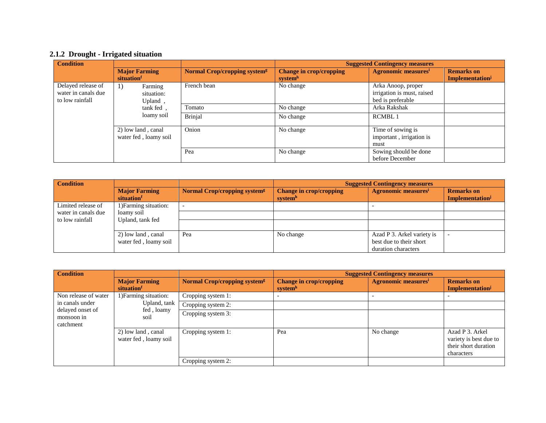## **2.1.2 Drought - Irrigated situation**

| <b>Condition</b>                                             |                                              |                                          |                                                       | <b>Suggested Contingency measures</b>                                 |                                     |
|--------------------------------------------------------------|----------------------------------------------|------------------------------------------|-------------------------------------------------------|-----------------------------------------------------------------------|-------------------------------------|
|                                                              | <b>Major Farming</b><br>situation            | Normal Crop/cropping system <sup>g</sup> | <b>Change in crop/cropping</b><br>system <sup>h</sup> | <b>Agronomic measures</b> <sup>i</sup>                                | <b>Remarks</b> on<br>Implementation |
| Delayed release of<br>water in canals due<br>to low rainfall | Farming<br>$_{1}$ )<br>situation:<br>Upland, | French bean                              | No change                                             | Arka Anoop, proper<br>irrigation is must, raised<br>bed is preferable |                                     |
|                                                              | tank fed.                                    | Tomato                                   | No change                                             | Arka Rakshak                                                          |                                     |
|                                                              | loamy soil                                   | <b>Brinjal</b>                           | No change                                             | <b>RCMBL1</b>                                                         |                                     |
|                                                              | 2) low land, canal<br>water fed, loamy soil  | Onion                                    | No change                                             | Time of sowing is<br>important, irrigation is<br>must                 |                                     |
|                                                              |                                              | Pea                                      | No change                                             | Sowing should be done<br>before December                              |                                     |

| <b>Condition</b>    |                                     | <b>Suggested Contingency measures</b>          |                                           |                                        |                                     |
|---------------------|-------------------------------------|------------------------------------------------|-------------------------------------------|----------------------------------------|-------------------------------------|
|                     | <b>Major Farming</b><br>situation   | <b>Normal Crop/cropping system<sup>g</sup></b> | <b>Change in crop/cropping</b><br>systemh | <b>Agronomic measures</b> <sup>i</sup> | <b>Remarks on</b><br>Implementation |
| Limited release of  | 1) Farming situation:               |                                                |                                           |                                        |                                     |
| water in canals due | loamy soil                          |                                                |                                           |                                        |                                     |
|                     | to low rainfall<br>Upland, tank fed |                                                |                                           |                                        |                                     |
|                     | 2) low land, canal                  | Pea                                            | No change                                 | Azad P 3. Arkel variety is             |                                     |
|                     | water fed, loamy soil               |                                                |                                           | best due to their short                |                                     |
|                     |                                     |                                                |                                           | duration characters                    |                                     |

| <b>Condition</b>                            |                                             |                                                | <b>Suggested Contingency measures</b>     |                                        |                                                                                 |
|---------------------------------------------|---------------------------------------------|------------------------------------------------|-------------------------------------------|----------------------------------------|---------------------------------------------------------------------------------|
|                                             | <b>Major Farming</b><br>situation           | <b>Normal Crop/cropping system<sup>g</sup></b> | <b>Change in crop/cropping</b><br>systemh | <b>Agronomic measures</b> <sup>i</sup> | <b>Remarks on</b><br>Implementation                                             |
| Non release of water                        | 1) Farming situation:                       | Cropping system 1:                             |                                           |                                        |                                                                                 |
| in canals under                             | Upland, tank                                | Cropping system 2:                             |                                           |                                        |                                                                                 |
| delayed onset of<br>monsoon in<br>catchment | fed, loamy<br>soil                          | Cropping system 3:                             |                                           |                                        |                                                                                 |
|                                             | 2) low land, canal<br>water fed, loamy soil | Cropping system 1:                             | Pea                                       | No change                              | Azad P 3. Arkel<br>variety is best due to<br>their short duration<br>characters |
|                                             |                                             | Cropping system 2:                             |                                           |                                        |                                                                                 |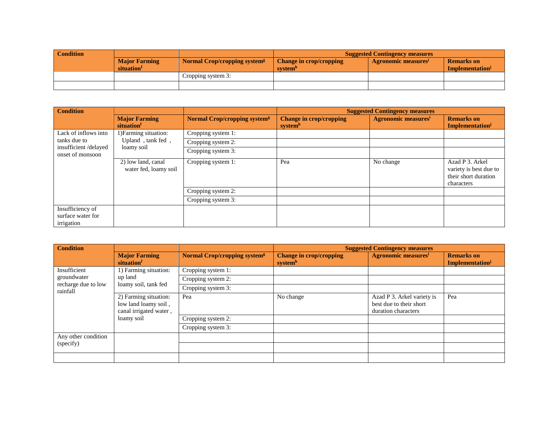| <b>Condition</b> |                                   |                                          | <b>Suggested Contingency measures</b>                 |                                 |                                     |  |
|------------------|-----------------------------------|------------------------------------------|-------------------------------------------------------|---------------------------------|-------------------------------------|--|
|                  | <b>Major Farming</b><br>situation | Normal Crop/cropping system <sup>g</sup> | <b>Change in crop/cropping</b><br>system <sup>n</sup> | Agronomic measures <sup>1</sup> | <b>Remarks</b> on<br>Implementation |  |
|                  |                                   | Cropping system 3:                       |                                                       |                                 |                                     |  |
|                  |                                   |                                          |                                                       |                                 |                                     |  |

| <b>Condition</b>                                    |                                             |                                                | <b>Suggested Contingency measures</b>                 |                                        |                                                                                 |
|-----------------------------------------------------|---------------------------------------------|------------------------------------------------|-------------------------------------------------------|----------------------------------------|---------------------------------------------------------------------------------|
|                                                     | <b>Major Farming</b><br>situation           | <b>Normal Crop/cropping system<sup>g</sup></b> | <b>Change in crop/cropping</b><br>system <sup>h</sup> | <b>Agronomic measures</b> <sup>i</sup> | <b>Remarks</b> on<br>Implementation                                             |
| Lack of inflows into                                | 1) Farming situation:                       | Cropping system 1:                             |                                                       |                                        |                                                                                 |
| tanks due to                                        | Upland, tank fed,                           | Cropping system 2:                             |                                                       |                                        |                                                                                 |
| insufficient/delayed<br>onset of monsoon            | loamy soil                                  | Cropping system 3:                             |                                                       |                                        |                                                                                 |
|                                                     | 2) low land, canal<br>water fed, loamy soil | Cropping system 1:                             | Pea                                                   | No change                              | Azad P 3. Arkel<br>variety is best due to<br>their short duration<br>characters |
|                                                     |                                             | Cropping system 2:                             |                                                       |                                        |                                                                                 |
|                                                     |                                             | Cropping system 3:                             |                                                       |                                        |                                                                                 |
| Insufficiency of<br>surface water for<br>irrigation |                                             |                                                |                                                       |                                        |                                                                                 |

| <b>Condition</b>                |                                                                                       |                                                | <b>Suggested Contingency measures</b>     |                                                                              |                                     |
|---------------------------------|---------------------------------------------------------------------------------------|------------------------------------------------|-------------------------------------------|------------------------------------------------------------------------------|-------------------------------------|
|                                 | <b>Major Farming</b><br>situation                                                     | <b>Normal Crop/cropping system<sup>g</sup></b> | <b>Change in crop/cropping</b><br>systemh | <b>Agronomic measures</b> <sup>i</sup>                                       | <b>Remarks</b> on<br>Implementation |
| Insufficient                    | 1) Farming situation:                                                                 | Cropping system 1:                             |                                           |                                                                              |                                     |
| groundwater                     | up land                                                                               | Cropping system 2:                             |                                           |                                                                              |                                     |
| recharge due to low<br>rainfall | loamy soil, tank fed                                                                  | Cropping system 3:                             |                                           |                                                                              |                                     |
|                                 | 2) Farming situation:<br>low land loamy soil,<br>canal irrigated water,<br>loamy soil | Pea                                            | No change                                 | Azad P 3. Arkel variety is<br>best due to their short<br>duration characters | Pea                                 |
|                                 |                                                                                       | Cropping system 2:                             |                                           |                                                                              |                                     |
|                                 |                                                                                       | Cropping system 3:                             |                                           |                                                                              |                                     |
| Any other condition             |                                                                                       |                                                |                                           |                                                                              |                                     |
| (specify)                       |                                                                                       |                                                |                                           |                                                                              |                                     |
|                                 |                                                                                       |                                                |                                           |                                                                              |                                     |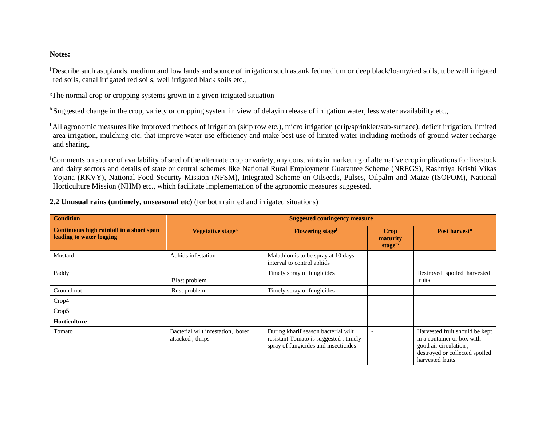<sup>f</sup>Describe such asuplands, medium and low lands and source of irrigation such astank fedmedium or deep black/loamy/red soils, tube well irrigated red soils, canal irrigated red soils, well irrigated black soils etc.,

<sup>g</sup>The normal crop or cropping systems grown in a given irrigated situation

<sup>h</sup> Suggested change in the crop, variety or cropping system in view of delayin release of irrigation water, less water availability etc.,

<sup>I</sup>All agronomic measures like improved methods of irrigation (skip row etc.), micro irrigation (drip/sprinkler/sub-surface), deficit irrigation, limited area irrigation, mulching etc, that improve water use efficiency and make best use of limited water including methods of ground water recharge and sharing.

<sup>j</sup>Comments on source of availability of seed of the alternate crop or variety, any constraints in marketing of alternative crop implications for livestock and dairy sectors and details of state or central schemes like National Rural Employment Guarantee Scheme (NREGS), Rashtriya Krishi Vikas Yojana (RKVY), National Food Security Mission (NFSM), Integrated Scheme on Oilseeds, Pulses, Oilpalm and Maize (ISOPOM), National Horticulture Mission (NHM) etc., which facilitate implementation of the agronomic measures suggested.

| <b>Condition</b>                                                     | <b>Suggested contingency measure</b>                  |                                                                                                                      |                                        |                                                                                                                                             |
|----------------------------------------------------------------------|-------------------------------------------------------|----------------------------------------------------------------------------------------------------------------------|----------------------------------------|---------------------------------------------------------------------------------------------------------------------------------------------|
| Continuous high rainfall in a short span<br>leading to water logging | Vegetative stage <sup>k</sup>                         | <b>Flowering stage</b>                                                                                               | Crop<br>maturity<br>stage <sup>m</sup> | Post harvest <sup>n</sup>                                                                                                                   |
| Mustard                                                              | Aphids infestation                                    | Malathion is to be spray at 10 days<br>interval to control aphids                                                    | $\overline{\phantom{a}}$               |                                                                                                                                             |
| Paddy                                                                | Blast problem                                         | Timely spray of fungicides                                                                                           |                                        | Destroyed spoiled harvested<br>fruits                                                                                                       |
| Ground nut                                                           | Rust problem                                          | Timely spray of fungicides                                                                                           |                                        |                                                                                                                                             |
| Crop4                                                                |                                                       |                                                                                                                      |                                        |                                                                                                                                             |
| Crop5                                                                |                                                       |                                                                                                                      |                                        |                                                                                                                                             |
| Horticulture                                                         |                                                       |                                                                                                                      |                                        |                                                                                                                                             |
| Tomato                                                               | Bacterial wilt infestation, borer<br>attacked, thrips | During kharif season bacterial wilt<br>resistant Tomato is suggested, timely<br>spray of fungicides and insecticides | $\overline{\phantom{a}}$               | Harvested fruit should be kept<br>in a container or box with<br>good air circulation,<br>destroyed or collected spoiled<br>harvested fruits |

**2.2 Unusual rains (untimely, unseasonal etc)** (for both rainfed and irrigated situations)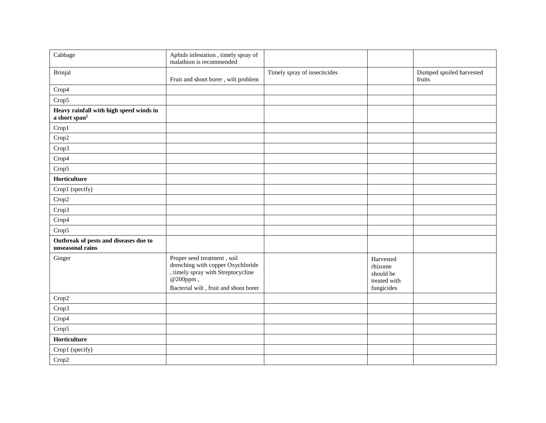| Cabbage                                                              | Aphids infestation, timely spray of<br>malathion is recommended                                                                                             |                              |                                                                 |                                    |
|----------------------------------------------------------------------|-------------------------------------------------------------------------------------------------------------------------------------------------------------|------------------------------|-----------------------------------------------------------------|------------------------------------|
| Brinjal                                                              | Fruit and shoot borer, wilt problem                                                                                                                         | Timely spray of insecticides |                                                                 | Dumped spoiled harvested<br>fruits |
| Crop4                                                                |                                                                                                                                                             |                              |                                                                 |                                    |
| Crop5                                                                |                                                                                                                                                             |                              |                                                                 |                                    |
| Heavy rainfall with high speed winds in<br>a short span <sup>2</sup> |                                                                                                                                                             |                              |                                                                 |                                    |
| Crop1                                                                |                                                                                                                                                             |                              |                                                                 |                                    |
| Crop2                                                                |                                                                                                                                                             |                              |                                                                 |                                    |
| Crop3                                                                |                                                                                                                                                             |                              |                                                                 |                                    |
| Crop4                                                                |                                                                                                                                                             |                              |                                                                 |                                    |
| Crop5                                                                |                                                                                                                                                             |                              |                                                                 |                                    |
| Horticulture                                                         |                                                                                                                                                             |                              |                                                                 |                                    |
| Crop1 (specify)                                                      |                                                                                                                                                             |                              |                                                                 |                                    |
| Crop2                                                                |                                                                                                                                                             |                              |                                                                 |                                    |
| Crop3                                                                |                                                                                                                                                             |                              |                                                                 |                                    |
| Crop4                                                                |                                                                                                                                                             |                              |                                                                 |                                    |
| Crop5                                                                |                                                                                                                                                             |                              |                                                                 |                                    |
| Outbreak of pests and diseases due to<br>unseasonal rains            |                                                                                                                                                             |                              |                                                                 |                                    |
| Ginger                                                               | Proper seed treatment, soil<br>drenching with copper Oxychloride<br>, timely spray with Streptocycline<br>@200ppm,<br>Bacterial wilt, fruit and shoot borer |                              | Harvested<br>rhizome<br>should be<br>treated with<br>fungicides |                                    |
| Crop2                                                                |                                                                                                                                                             |                              |                                                                 |                                    |
| Crop3                                                                |                                                                                                                                                             |                              |                                                                 |                                    |
| Crop4                                                                |                                                                                                                                                             |                              |                                                                 |                                    |
| Crop5                                                                |                                                                                                                                                             |                              |                                                                 |                                    |
| Horticulture                                                         |                                                                                                                                                             |                              |                                                                 |                                    |
| Crop1 (specify)                                                      |                                                                                                                                                             |                              |                                                                 |                                    |
| Crop2                                                                |                                                                                                                                                             |                              |                                                                 |                                    |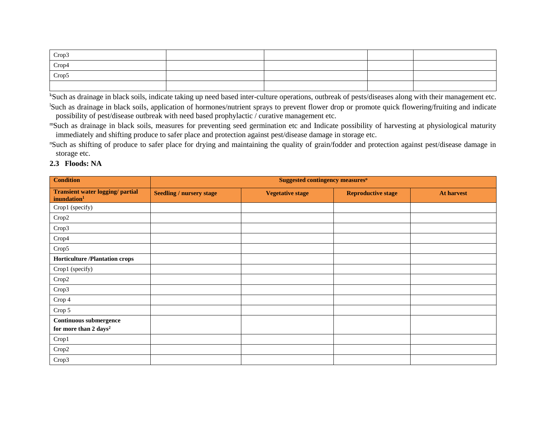| Crop3 |  |  |
|-------|--|--|
| Crop4 |  |  |
| Crop5 |  |  |
|       |  |  |

<sup>k</sup>Such as drainage in black soils, indicate taking up need based inter-culture operations, outbreak of pests/diseases along with their management etc. <sup>1</sup>Such as drainage in black soils, application of hormones/nutrient sprays to prevent flower drop or promote quick flowering/fruiting and indicate possibility of pest/disease outbreak with need based prophylactic / curative management etc.

<sup>m</sup>Such as drainage in black soils, measures for preventing seed germination etc and Indicate possibility of harvesting at physiological maturity immediately and shifting produce to safer place and protection against pest/disease damage in storage etc.

<sup>n</sup>Such as shifting of produce to safer place for drying and maintaining the quality of grain/fodder and protection against pest/disease damage in storage etc.

### **2.3 Floods: NA**

| <b>Condition</b>                                                   | Suggested contingency measures <sup>o</sup> |                         |                           |                   |
|--------------------------------------------------------------------|---------------------------------------------|-------------------------|---------------------------|-------------------|
| <b>Transient water logging/ partial</b><br>inundation <sup>1</sup> | <b>Seedling / nursery stage</b>             | <b>Vegetative stage</b> | <b>Reproductive stage</b> | <b>At harvest</b> |
| Crop1 (specify)                                                    |                                             |                         |                           |                   |
| $\operatorname{Crop2}$                                             |                                             |                         |                           |                   |
| Crop3                                                              |                                             |                         |                           |                   |
| Crop4                                                              |                                             |                         |                           |                   |
| Crop5                                                              |                                             |                         |                           |                   |
| <b>Horticulture /Plantation crops</b>                              |                                             |                         |                           |                   |
| Crop1 (specify)                                                    |                                             |                         |                           |                   |
| Crop2                                                              |                                             |                         |                           |                   |
| Crop3                                                              |                                             |                         |                           |                   |
| Crop 4                                                             |                                             |                         |                           |                   |
| Crop 5                                                             |                                             |                         |                           |                   |
| Continuous submergence<br>for more than 2 days <sup>2</sup>        |                                             |                         |                           |                   |
| Crop1                                                              |                                             |                         |                           |                   |
| Crop2                                                              |                                             |                         |                           |                   |
| Crop3                                                              |                                             |                         |                           |                   |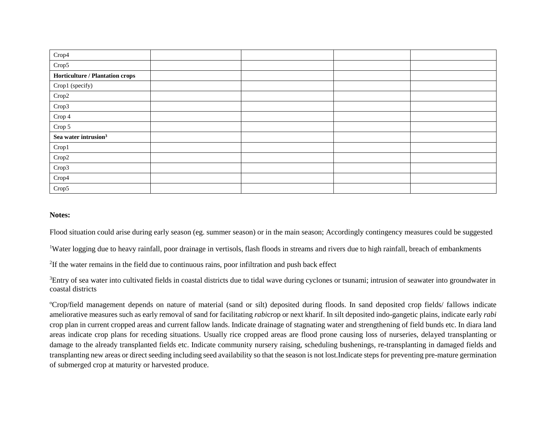| Crop4                            |  |  |
|----------------------------------|--|--|
| Crop5                            |  |  |
| Horticulture / Plantation crops  |  |  |
| Crop1 (specify)                  |  |  |
| Crop2                            |  |  |
| Crop3                            |  |  |
| $\operatorname{Crop} 4$          |  |  |
| Crop 5                           |  |  |
| Sea water intrusion <sup>3</sup> |  |  |
| Crop1                            |  |  |
| Crop2                            |  |  |
| Crop3                            |  |  |
| Crop4                            |  |  |
| Crop5                            |  |  |

Flood situation could arise during early season (eg. summer season) or in the main season; Accordingly contingency measures could be suggested

<sup>1</sup>Water logging due to heavy rainfall, poor drainage in vertisols, flash floods in streams and rivers due to high rainfall, breach of embankments

<sup>2</sup>If the water remains in the field due to continuous rains, poor infiltration and push back effect

<sup>3</sup>Entry of sea water into cultivated fields in coastal districts due to tidal wave during cyclones or tsunami; intrusion of seawater into groundwater in coastal districts

<sup>o</sup>Crop/field management depends on nature of material (sand or silt) deposited during floods. In sand deposited crop fields/ fallows indicate ameliorative measures such as early removal of sand for facilitating *rabi*crop or next kharif. In silt deposited indo-gangetic plains, indicate early *rabi* crop plan in current cropped areas and current fallow lands. Indicate drainage of stagnating water and strengthening of field bunds etc. In diara land areas indicate crop plans for receding situations. Usually rice cropped areas are flood prone causing loss of nurseries, delayed transplanting or damage to the already transplanted fields etc. Indicate community nursery raising, scheduling bushenings, re-transplanting in damaged fields and transplanting new areas or direct seeding including seed availability so that the season is not lost.Indicate steps for preventing pre-mature germination of submerged crop at maturity or harvested produce.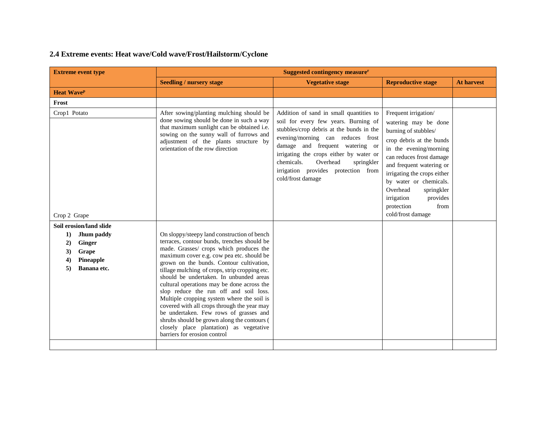# **2.4 Extreme events: Heat wave/Cold wave/Frost/Hailstorm/Cyclone**

| <b>Extreme event type</b>                                                                                                 | Suggested contingency measure <sup>r</sup>                                                                                                                                                                                                                                                                                                                                                                                                                                                                                                                                                                                                                                           |                                                                                                                                                                                                                                                                                                                                                    |                                                                                                                                                                                                                                                                                                                                            |                   |  |  |
|---------------------------------------------------------------------------------------------------------------------------|--------------------------------------------------------------------------------------------------------------------------------------------------------------------------------------------------------------------------------------------------------------------------------------------------------------------------------------------------------------------------------------------------------------------------------------------------------------------------------------------------------------------------------------------------------------------------------------------------------------------------------------------------------------------------------------|----------------------------------------------------------------------------------------------------------------------------------------------------------------------------------------------------------------------------------------------------------------------------------------------------------------------------------------------------|--------------------------------------------------------------------------------------------------------------------------------------------------------------------------------------------------------------------------------------------------------------------------------------------------------------------------------------------|-------------------|--|--|
|                                                                                                                           | <b>Seedling / nursery stage</b>                                                                                                                                                                                                                                                                                                                                                                                                                                                                                                                                                                                                                                                      | <b>Vegetative stage</b>                                                                                                                                                                                                                                                                                                                            | <b>Reproductive stage</b>                                                                                                                                                                                                                                                                                                                  | <b>At harvest</b> |  |  |
| <b>Heat WaveP</b>                                                                                                         |                                                                                                                                                                                                                                                                                                                                                                                                                                                                                                                                                                                                                                                                                      |                                                                                                                                                                                                                                                                                                                                                    |                                                                                                                                                                                                                                                                                                                                            |                   |  |  |
| Frost                                                                                                                     |                                                                                                                                                                                                                                                                                                                                                                                                                                                                                                                                                                                                                                                                                      |                                                                                                                                                                                                                                                                                                                                                    |                                                                                                                                                                                                                                                                                                                                            |                   |  |  |
| Crop1 Potato<br>Crop 2 Grape                                                                                              | After sowing/planting mulching should be<br>done sowing should be done in such a way<br>that maximum sunlight can be obtained i.e.<br>sowing on the sunny wall of furrows and<br>adjustment of the plants structure by<br>orientation of the row direction                                                                                                                                                                                                                                                                                                                                                                                                                           | Addition of sand in small quantities to<br>soil for every few years. Burning of<br>stubbles/crop debris at the bunds in the<br>evening/morning can reduces frost<br>damage and frequent watering or<br>irrigating the crops either by water or<br>chemicals.<br>Overhead<br>springkler<br>irrigation provides protection from<br>cold/frost damage | Frequent irrigation/<br>watering may be done<br>burning of stubbles/<br>crop debris at the bunds<br>in the evening/morning<br>can reduces frost damage<br>and frequent watering or<br>irrigating the crops either<br>by water or chemicals.<br>Overhead<br>springkler<br>irrigation<br>provides<br>from<br>protection<br>cold/frost damage |                   |  |  |
| Soil erosion/land slide<br>1)<br>Jhum paddy<br><b>Ginger</b><br>2)<br>3)<br>Grape<br>Pineapple<br>4)<br>Banana etc.<br>5) | On sloppy/steepy land construction of bench<br>terraces, contour bunds, trenches should be<br>made. Grasses/ crops which produces the<br>maximum cover e.g. cow pea etc. should be<br>grown on the bunds. Contour cultivation,<br>tillage mulching of crops, strip cropping etc.<br>should be undertaken. In unbunded areas<br>cultural operations may be done across the<br>slop reduce the run off and soil loss.<br>Multiple cropping system where the soil is<br>covered with all crops through the year may<br>be undertaken. Few rows of grasses and<br>shrubs should be grown along the contours (<br>closely place plantation) as vegetative<br>barriers for erosion control |                                                                                                                                                                                                                                                                                                                                                    |                                                                                                                                                                                                                                                                                                                                            |                   |  |  |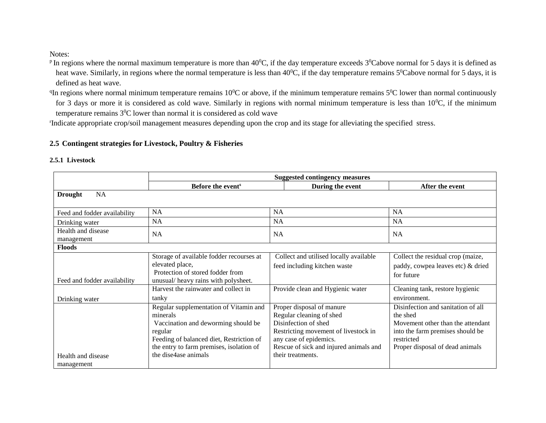- <sup>p</sup> In regions where the normal maximum temperature is more than  $40^{\circ}$ C, if the day temperature exceeds  $3^{\circ}$ Cabove normal for 5 days it is defined as heat wave. Similarly, in regions where the normal temperature is less than 40<sup>0</sup>C, if the day temperature remains 5<sup>0</sup>Cabove normal for 5 days, it is defined as heat wave.
- <sup>q</sup>In regions where normal minimum temperature remains  $10^0$ C or above, if the minimum temperature remains  $5^0$ C lower than normal continuously for 3 days or more it is considered as cold wave. Similarly in regions with normal minimum temperature is less than  $10^{0}$ C, if the minimum temperature remains 3<sup>0</sup>C lower than normal it is considered as cold wave

r Indicate appropriate crop/soil management measures depending upon the crop and its stage for alleviating the specified stress.

### **2.5 Contingent strategies for Livestock, Poultry & Fisheries**

#### **2.5.1 Livestock**

|                                                | <b>Suggested contingency measures</b>                                                                                                                                                                                |                                                                                                                                                                                                                |                                                                                                                                                                          |  |
|------------------------------------------------|----------------------------------------------------------------------------------------------------------------------------------------------------------------------------------------------------------------------|----------------------------------------------------------------------------------------------------------------------------------------------------------------------------------------------------------------|--------------------------------------------------------------------------------------------------------------------------------------------------------------------------|--|
|                                                | Before the event <sup>s</sup>                                                                                                                                                                                        | During the event                                                                                                                                                                                               | After the event                                                                                                                                                          |  |
| <b>NA</b><br><b>Drought</b>                    |                                                                                                                                                                                                                      |                                                                                                                                                                                                                |                                                                                                                                                                          |  |
|                                                | <b>NA</b>                                                                                                                                                                                                            | <b>NA</b>                                                                                                                                                                                                      | <b>NA</b>                                                                                                                                                                |  |
| Feed and fodder availability<br>Drinking water | NA                                                                                                                                                                                                                   | <b>NA</b>                                                                                                                                                                                                      | NA                                                                                                                                                                       |  |
| Health and disease<br>management               | <b>NA</b>                                                                                                                                                                                                            | <b>NA</b>                                                                                                                                                                                                      | <b>NA</b>                                                                                                                                                                |  |
| <b>Floods</b>                                  |                                                                                                                                                                                                                      |                                                                                                                                                                                                                |                                                                                                                                                                          |  |
| Feed and fodder availability                   | Storage of available fodder recourses at<br>elevated place,<br>Protection of stored fodder from<br>unusual/ heavy rains with polysheet.                                                                              | Collect and utilised locally available<br>feed including kitchen waste                                                                                                                                         | Collect the residual crop (maize,<br>paddy, cowpea leaves etc) & dried<br>for future                                                                                     |  |
| Drinking water                                 | Harvest the rainwater and collect in<br>tanky                                                                                                                                                                        | Provide clean and Hygienic water                                                                                                                                                                               | Cleaning tank, restore hygienic<br>environment.                                                                                                                          |  |
| Health and disease<br>management               | Regular supplementation of Vitamin and<br>minerals<br>Vaccination and deworming should be<br>regular<br>Feeding of balanced diet, Restriction of<br>the entry to farm premises, isolation of<br>the dise4ase animals | Proper disposal of manure<br>Regular cleaning of shed<br>Disinfection of shed<br>Restricting movement of livestock in<br>any case of epidemics.<br>Rescue of sick and injured animals and<br>their treatments. | Disinfection and sanitation of all<br>the shed<br>Movement other than the attendant<br>into the farm premises should be<br>restricted<br>Proper disposal of dead animals |  |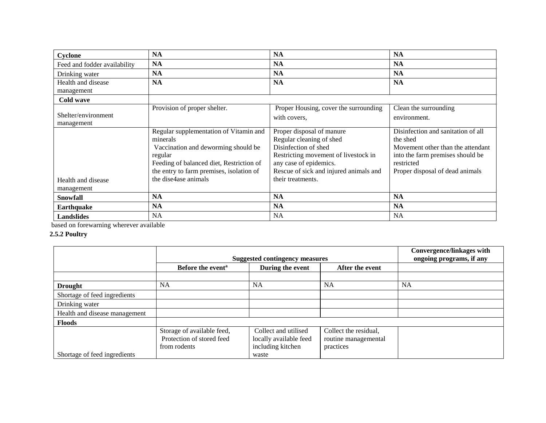| Cyclone                           | <b>NA</b>                                                                                                                                                                                                            | <b>NA</b>                                                                                                                                                                                                      | <b>NA</b>                                                                                                                                                                |
|-----------------------------------|----------------------------------------------------------------------------------------------------------------------------------------------------------------------------------------------------------------------|----------------------------------------------------------------------------------------------------------------------------------------------------------------------------------------------------------------|--------------------------------------------------------------------------------------------------------------------------------------------------------------------------|
| Feed and fodder availability      | <b>NA</b>                                                                                                                                                                                                            | <b>NA</b>                                                                                                                                                                                                      | <b>NA</b>                                                                                                                                                                |
| Drinking water                    | <b>NA</b>                                                                                                                                                                                                            | <b>NA</b>                                                                                                                                                                                                      | <b>NA</b>                                                                                                                                                                |
| Health and disease<br>management  | <b>NA</b>                                                                                                                                                                                                            | <b>NA</b>                                                                                                                                                                                                      | <b>NA</b>                                                                                                                                                                |
| Cold wave                         |                                                                                                                                                                                                                      |                                                                                                                                                                                                                |                                                                                                                                                                          |
| Shelter/environment<br>management | Provision of proper shelter.                                                                                                                                                                                         | Proper Housing, cover the surrounding<br>with covers,                                                                                                                                                          | Clean the surrounding<br>environment.                                                                                                                                    |
| Health and disease<br>management  | Regular supplementation of Vitamin and<br>minerals<br>Vaccination and deworming should be<br>regular<br>Feeding of balanced diet, Restriction of<br>the entry to farm premises, isolation of<br>the dise4ase animals | Proper disposal of manure<br>Regular cleaning of shed<br>Disinfection of shed<br>Restricting movement of livestock in<br>any case of epidemics.<br>Rescue of sick and injured animals and<br>their treatments. | Disinfection and sanitation of all<br>the shed<br>Movement other than the attendant<br>into the farm premises should be<br>restricted<br>Proper disposal of dead animals |
| <b>Snowfall</b>                   | <b>NA</b>                                                                                                                                                                                                            | <b>NA</b>                                                                                                                                                                                                      | <b>NA</b>                                                                                                                                                                |
| <b>Earthquake</b>                 | <b>NA</b>                                                                                                                                                                                                            | <b>NA</b>                                                                                                                                                                                                      | <b>NA</b>                                                                                                                                                                |
| <b>Landslides</b>                 | <b>NA</b>                                                                                                                                                                                                            | <b>NA</b>                                                                                                                                                                                                      | <b>NA</b>                                                                                                                                                                |

based on forewarning wherever available

### **2.5.2 Poultry**

|                               | <b>Suggested contingency measures</b> |                        |                       | <b>Convergence/linkages with</b><br>ongoing programs, if any |
|-------------------------------|---------------------------------------|------------------------|-----------------------|--------------------------------------------------------------|
|                               | Before the event <sup>a</sup>         | During the event       | After the event       |                                                              |
|                               |                                       |                        |                       |                                                              |
| <b>Drought</b>                | <b>NA</b>                             | <b>NA</b>              | <b>NA</b>             | <b>NA</b>                                                    |
| Shortage of feed ingredients  |                                       |                        |                       |                                                              |
| Drinking water                |                                       |                        |                       |                                                              |
| Health and disease management |                                       |                        |                       |                                                              |
| <b>Floods</b>                 |                                       |                        |                       |                                                              |
|                               | Storage of available feed,            | Collect and utilised   | Collect the residual, |                                                              |
|                               | Protection of stored feed             | locally available feed | routine managemental  |                                                              |
|                               | from rodents                          | including kitchen      | practices             |                                                              |
| Shortage of feed ingredients  |                                       | waste                  |                       |                                                              |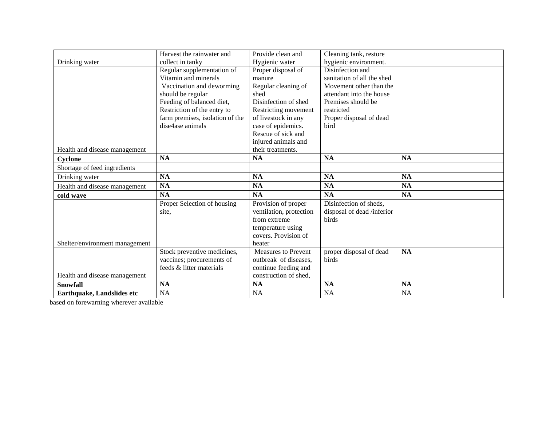|                                | Harvest the rainwater and       | Provide clean and          | Cleaning tank, restore     |           |
|--------------------------------|---------------------------------|----------------------------|----------------------------|-----------|
| Drinking water                 | collect in tanky                | Hygienic water             | hygienic environment.      |           |
|                                | Regular supplementation of      | Proper disposal of         | Disinfection and           |           |
|                                | Vitamin and minerals            | manure                     | sanitation of all the shed |           |
|                                | Vaccination and deworming       | Regular cleaning of        | Movement other than the    |           |
|                                | should be regular               | shed                       | attendant into the house   |           |
|                                | Feeding of balanced diet,       | Disinfection of shed       | Premises should be         |           |
|                                | Restriction of the entry to     | Restricting movement       | restricted                 |           |
|                                | farm premises, isolation of the | of livestock in any        | Proper disposal of dead    |           |
|                                | dise4ase animals                | case of epidemics.         | bird                       |           |
|                                |                                 | Rescue of sick and         |                            |           |
|                                |                                 | injured animals and        |                            |           |
| Health and disease management  |                                 | their treatments.          |                            |           |
| Cyclone                        | <b>NA</b>                       | <b>NA</b>                  | <b>NA</b>                  | <b>NA</b> |
| Shortage of feed ingredients   |                                 |                            |                            |           |
| Drinking water                 | <b>NA</b>                       | <b>NA</b>                  | NA                         | <b>NA</b> |
| Health and disease management  | NA                              | <b>NA</b>                  | <b>NA</b>                  | <b>NA</b> |
| cold wave                      | <b>NA</b>                       | <b>NA</b>                  | <b>NA</b>                  | <b>NA</b> |
|                                | Proper Selection of housing     | Provision of proper        | Disinfection of sheds,     |           |
|                                | site,                           | ventilation, protection    | disposal of dead /inferior |           |
|                                |                                 | from extreme               | birds                      |           |
|                                |                                 | temperature using          |                            |           |
|                                |                                 | covers. Provision of       |                            |           |
| Shelter/environment management |                                 | heater                     |                            |           |
|                                | Stock preventive medicines,     | <b>Measures to Prevent</b> | proper disposal of dead    | <b>NA</b> |
|                                | vaccines; procurements of       | outbreak of diseases,      | birds                      |           |
|                                | feeds & litter materials        | continue feeding and       |                            |           |
| Health and disease management  |                                 | construction of shed,      |                            |           |
| <b>Snowfall</b>                | <b>NA</b>                       | <b>NA</b>                  | <b>NA</b>                  | <b>NA</b> |
| Earthquake, Landslides etc     | NA                              | <b>NA</b>                  | NA                         | <b>NA</b> |

based on forewarning wherever available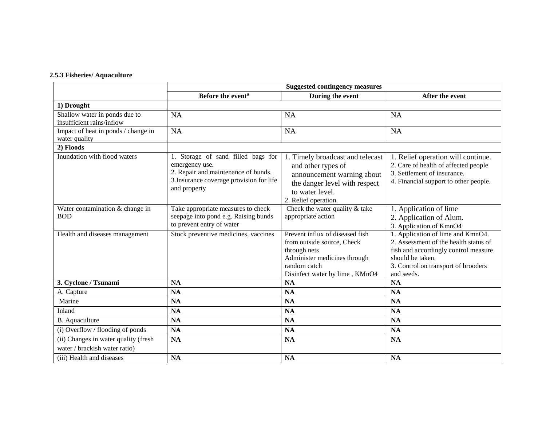#### **2.5.3 Fisheries/ Aquaculture**

|                                                                       | <b>Suggested contingency measures</b>                                                                                                                   |                                                                                                                                                                  |                                                                                                                                                                                             |  |
|-----------------------------------------------------------------------|---------------------------------------------------------------------------------------------------------------------------------------------------------|------------------------------------------------------------------------------------------------------------------------------------------------------------------|---------------------------------------------------------------------------------------------------------------------------------------------------------------------------------------------|--|
|                                                                       | Before the event <sup>a</sup>                                                                                                                           | During the event                                                                                                                                                 | After the event                                                                                                                                                                             |  |
| 1) Drought                                                            |                                                                                                                                                         |                                                                                                                                                                  |                                                                                                                                                                                             |  |
| Shallow water in ponds due to<br>insufficient rains/inflow            | <b>NA</b>                                                                                                                                               | <b>NA</b>                                                                                                                                                        | <b>NA</b>                                                                                                                                                                                   |  |
| Impact of heat in ponds / change in<br>water quality                  | NA                                                                                                                                                      | <b>NA</b>                                                                                                                                                        | <b>NA</b>                                                                                                                                                                                   |  |
| 2) Floods                                                             |                                                                                                                                                         |                                                                                                                                                                  |                                                                                                                                                                                             |  |
| Inundation with flood waters                                          | 1. Storage of sand filled bags for<br>emergency use.<br>2. Repair and maintenance of bunds.<br>3. Insurance coverage provision for life<br>and property | 1. Timely broadcast and telecast<br>and other types of<br>announcement warning about<br>the danger level with respect<br>to water level.<br>2. Relief operation. | 1. Relief operation will continue.<br>2. Care of health of affected people<br>3. Settlement of insurance.<br>4. Financial support to other people.                                          |  |
| Water contamination & change in<br><b>BOD</b>                         | Take appropriate measures to check<br>seepage into pond e.g. Raising bunds<br>to prevent entry of water                                                 | Check the water quality & take<br>appropriate action                                                                                                             | 1. Application of lime<br>2. Application of Alum.<br>3. Application of KmnO4                                                                                                                |  |
| Health and diseases management                                        | Stock preventive medicines, vaccines                                                                                                                    | Prevent influx of diseased fish<br>from outside source, Check<br>through nets<br>Administer medicines through<br>random catch<br>Disinfect water by lime, KMnO4  | 1. Application of lime and KmnO4.<br>2. Assessment of the health status of<br>fish and accordingly control measure<br>should be taken.<br>3. Control on transport of brooders<br>and seeds. |  |
| 3. Cyclone / Tsunami                                                  | <b>NA</b>                                                                                                                                               | <b>NA</b>                                                                                                                                                        | <b>NA</b>                                                                                                                                                                                   |  |
| A. Capture                                                            | <b>NA</b>                                                                                                                                               | <b>NA</b>                                                                                                                                                        | <b>NA</b>                                                                                                                                                                                   |  |
| Marine                                                                | <b>NA</b>                                                                                                                                               | <b>NA</b>                                                                                                                                                        | <b>NA</b>                                                                                                                                                                                   |  |
| Inland                                                                | <b>NA</b>                                                                                                                                               | <b>NA</b>                                                                                                                                                        | <b>NA</b>                                                                                                                                                                                   |  |
| B. Aquaculture                                                        | <b>NA</b>                                                                                                                                               | <b>NA</b>                                                                                                                                                        | <b>NA</b>                                                                                                                                                                                   |  |
| (i) Overflow / flooding of ponds                                      | <b>NA</b>                                                                                                                                               | <b>NA</b>                                                                                                                                                        | <b>NA</b>                                                                                                                                                                                   |  |
| (ii) Changes in water quality (fresh<br>water / brackish water ratio) | <b>NA</b>                                                                                                                                               | <b>NA</b>                                                                                                                                                        | <b>NA</b>                                                                                                                                                                                   |  |
| (iii) Health and diseases                                             | NA                                                                                                                                                      | <b>NA</b>                                                                                                                                                        | <b>NA</b>                                                                                                                                                                                   |  |